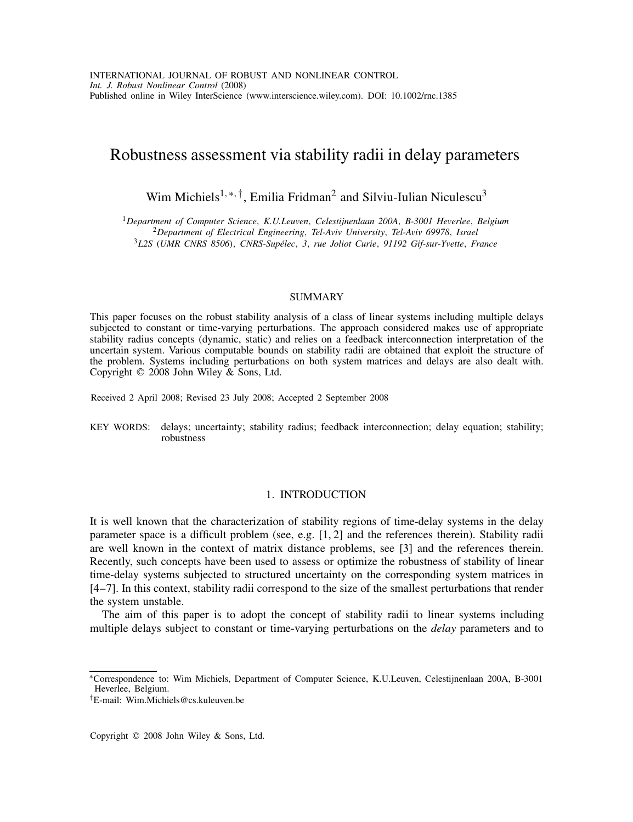# Robustness assessment via stability radii in delay parameters

Wim Michiels<sup>1,∗,†</sup>, Emilia Fridman<sup>2</sup> and Silviu-Iulian Niculescu<sup>3</sup>

<sup>1</sup>*Department of Computer Science, K.U.Leuven, Celestijnenlaan 200A, B-3001 Heverlee, Belgium* <sup>2</sup>*Department of Electrical Engineering, Tel-Aviv University, Tel-Aviv 69978, Israel* <sup>3</sup>*L2S (UMR CNRS 8506), CNRS-Sup´elec, 3, rue Joliot Curie, 91192 Gif-sur-Yvette, France*

#### **SUMMARY**

This paper focuses on the robust stability analysis of a class of linear systems including multiple delays subjected to constant or time-varying perturbations. The approach considered makes use of appropriate stability radius concepts (dynamic, static) and relies on a feedback interconnection interpretation of the uncertain system. Various computable bounds on stability radii are obtained that exploit the structure of the problem. Systems including perturbations on both system matrices and delays are also dealt with. Copyright  $\odot$  2008 John Wiley & Sons, Ltd.

Received 2 April 2008; Revised 23 July 2008; Accepted 2 September 2008

KEY WORDS: delays; uncertainty; stability radius; feedback interconnection; delay equation; stability; robustness

# 1. INTRODUCTION

It is well known that the characterization of stability regions of time-delay systems in the delay parameter space is a difficult problem (see, e.g. [1, 2] and the references therein). Stability radii are well known in the context of matrix distance problems, see [3] and the references therein. Recently, such concepts have been used to assess or optimize the robustness of stability of linear time-delay systems subjected to structured uncertainty on the corresponding system matrices in [4–7]. In this context, stability radii correspond to the size of the smallest perturbations that render the system unstable.

The aim of this paper is to adopt the concept of stability radii to linear systems including multiple delays subject to constant or time-varying perturbations on the *delay* parameters and to

<sup>∗</sup>Correspondence to: Wim Michiels, Department of Computer Science, K.U.Leuven, Celestijnenlaan 200A, B-3001 Heverlee, Belgium.

*<sup>†</sup>*E-mail: Wim.Michiels@cs.kuleuven.be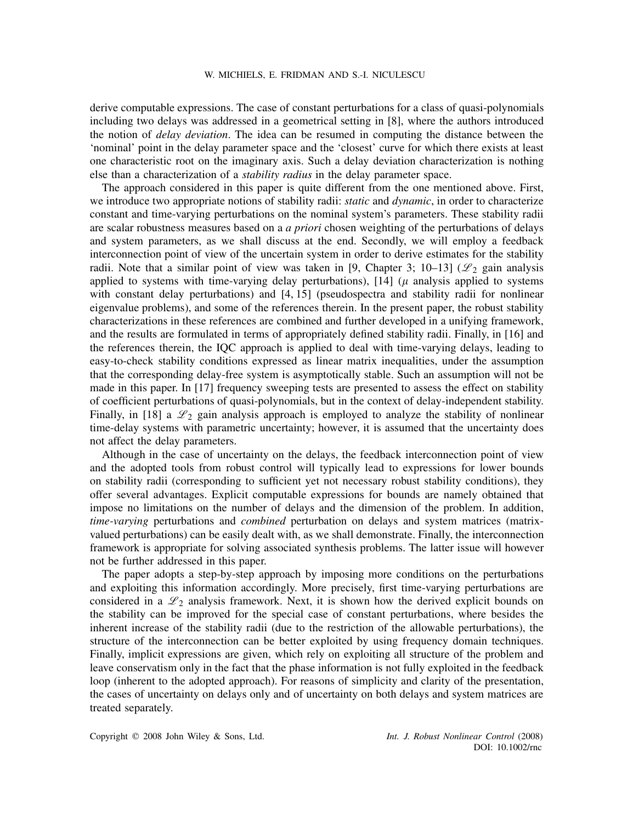derive computable expressions. The case of constant perturbations for a class of quasi-polynomials including two delays was addressed in a geometrical setting in [8], where the authors introduced the notion of *delay deviation*. The idea can be resumed in computing the distance between the 'nominal' point in the delay parameter space and the 'closest' curve for which there exists at least one characteristic root on the imaginary axis. Such a delay deviation characterization is nothing else than a characterization of a *stability radius* in the delay parameter space.

The approach considered in this paper is quite different from the one mentioned above. First, we introduce two appropriate notions of stability radii: *static* and *dynamic*, in order to characterize constant and time-varying perturbations on the nominal system's parameters. These stability radii are scalar robustness measures based on a *a priori* chosen weighting of the perturbations of delays and system parameters, as we shall discuss at the end. Secondly, we will employ a feedback interconnection point of view of the uncertain system in order to derive estimates for the stability radii. Note that a similar point of view was taken in [9, Chapter 3; 10–13] ( $\mathcal{L}_2$  gain analysis applied to systems with time-varying delay perturbations),  $[14]$  ( $\mu$  analysis applied to systems with constant delay perturbations) and [4, 15] (pseudospectra and stability radii for nonlinear eigenvalue problems), and some of the references therein. In the present paper, the robust stability characterizations in these references are combined and further developed in a unifying framework, and the results are formulated in terms of appropriately defined stability radii. Finally, in [16] and the references therein, the IQC approach is applied to deal with time-varying delays, leading to easy-to-check stability conditions expressed as linear matrix inequalities, under the assumption that the corresponding delay-free system is asymptotically stable. Such an assumption will not be made in this paper. In [17] frequency sweeping tests are presented to assess the effect on stability of coefficient perturbations of quasi-polynomials, but in the context of delay-independent stability. Finally, in [18] a  $\mathcal{L}_2$  gain analysis approach is employed to analyze the stability of nonlinear time-delay systems with parametric uncertainty; however, it is assumed that the uncertainty does not affect the delay parameters.

Although in the case of uncertainty on the delays, the feedback interconnection point of view and the adopted tools from robust control will typically lead to expressions for lower bounds on stability radii (corresponding to sufficient yet not necessary robust stability conditions), they offer several advantages. Explicit computable expressions for bounds are namely obtained that impose no limitations on the number of delays and the dimension of the problem. In addition, *time-varying* perturbations and *combined* perturbation on delays and system matrices (matrixvalued perturbations) can be easily dealt with, as we shall demonstrate. Finally, the interconnection framework is appropriate for solving associated synthesis problems. The latter issue will however not be further addressed in this paper.

The paper adopts a step-by-step approach by imposing more conditions on the perturbations and exploiting this information accordingly. More precisely, first time-varying perturbations are considered in a  $\mathcal{L}_2$  analysis framework. Next, it is shown how the derived explicit bounds on the stability can be improved for the special case of constant perturbations, where besides the inherent increase of the stability radii (due to the restriction of the allowable perturbations), the structure of the interconnection can be better exploited by using frequency domain techniques. Finally, implicit expressions are given, which rely on exploiting all structure of the problem and leave conservatism only in the fact that the phase information is not fully exploited in the feedback loop (inherent to the adopted approach). For reasons of simplicity and clarity of the presentation, the cases of uncertainty on delays only and of uncertainty on both delays and system matrices are treated separately.

Copyright q 2008 John Wiley & Sons, Ltd. *Int. J. Robust Nonlinear Control* (2008)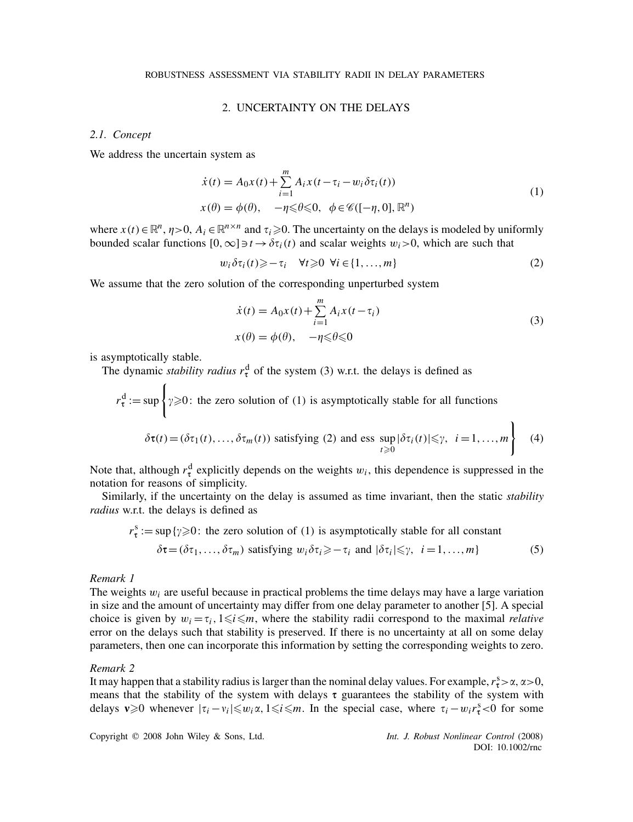# 2. UNCERTAINTY ON THE DELAYS

# *2.1. Concept*

We address the uncertain system as

$$
\begin{aligned} \dot{x}(t) &= A_0 x(t) + \sum_{i=1}^m A_i x(t - \tau_i - w_i \delta \tau_i(t)) \\ x(\theta) &= \phi(\theta), \quad -\eta \leq \theta \leq 0, \ \ \phi \in \mathscr{C}([-\eta, 0], \mathbb{R}^n) \end{aligned} \tag{1}
$$

where  $x(t) \in \mathbb{R}^n$ ,  $\eta > 0$ ,  $A_i \in \mathbb{R}^{n \times n}$  and  $\tau_i \ge 0$ . The uncertainty on the delays is modeled by uniformly bounded scalar functions  $[0, \infty] \ni t \rightarrow \delta \tau_i(t)$  and scalar weights  $w_i > 0$ , which are such that

$$
w_i \delta \tau_i(t) \geq -\tau_i \quad \forall t \geq 0 \ \forall i \in \{1, ..., m\}
$$
 (2)

We assume that the zero solution of the corresponding unperturbed system

$$
\begin{aligned} \dot{x}(t) &= A_0 x(t) + \sum_{i=1}^m A_i x(t - \tau_i) \\ x(\theta) &= \phi(\theta), \quad -\eta \leq \theta \leq 0 \end{aligned} \tag{3}
$$

is asymptotically stable.

The dynamic *stability radius*  $r_t^d$  of the system (3) w.r.t. the delays is defined as

$$
r_{\tau}^{d} := \sup \left\{ \gamma \geqslant 0: \text{ the zero solution of (1) is asymptotically stable for all functions} \right\}
$$

$$
\delta \tau(t) = (\delta \tau_1(t), \dots, \delta \tau_m(t)) \text{ satisfying (2) and ess } \sup_{t \geqslant 0} |\delta \tau_i(t)| \leqslant \gamma, \quad i = 1, \dots, m \right\}
$$
(4)

Note that, although  $r_{\tau}^d$  explicitly depends on the weights  $w_i$ , this dependence is suppressed in the notation for reasons of simplicity.

Similarly, if the uncertainty on the delay is assumed as time invariant, then the static *stability radius* w.r.t. the delays is defined as

$$
r_{\tau}^{s} := \sup \{ \gamma \geq 0 \colon \text{ the zero solution of (1) is asymptotically stable for all constant} \}
$$

$$
\delta \tau = (\delta \tau_1, \dots, \delta \tau_m) \text{ satisfying } w_i \delta \tau_i \geq -\tau_i \text{ and } |\delta \tau_i| \leq \gamma, \quad i = 1, \dots, m \}
$$
(5)

*Remark 1*

The weights  $w_i$  are useful because in practical problems the time delays may have a large variation in size and the amount of uncertainty may differ from one delay parameter to another [5]. A special choice is given by  $w_i = \tau_i$ ,  $1 \le i \le m$ , where the stability radii correspond to the maximal *relative* error on the delays such that stability is preserved. If there is no uncertainty at all on some delay parameters, then one can incorporate this information by setting the corresponding weights to zero.

# *Remark 2*

It may happen that a stability radius is larger than the nominal delay values. For example,  $r^s_z > \alpha$ ,  $\alpha > 0$ , means that the stability of the system with delays  $\tau$  guarantees the stability of the system with delays **v** $\geq$ 0 whenever  $|\tau_i - \nu_i| \leq w_i \alpha$ ,  $1 \leq i \leq m$ . In the special case, where  $\tau_i - w_i r_i^s < 0$  for some

Copyright q 2008 John Wiley & Sons, Ltd. *Int. J. Robust Nonlinear Control* (2008)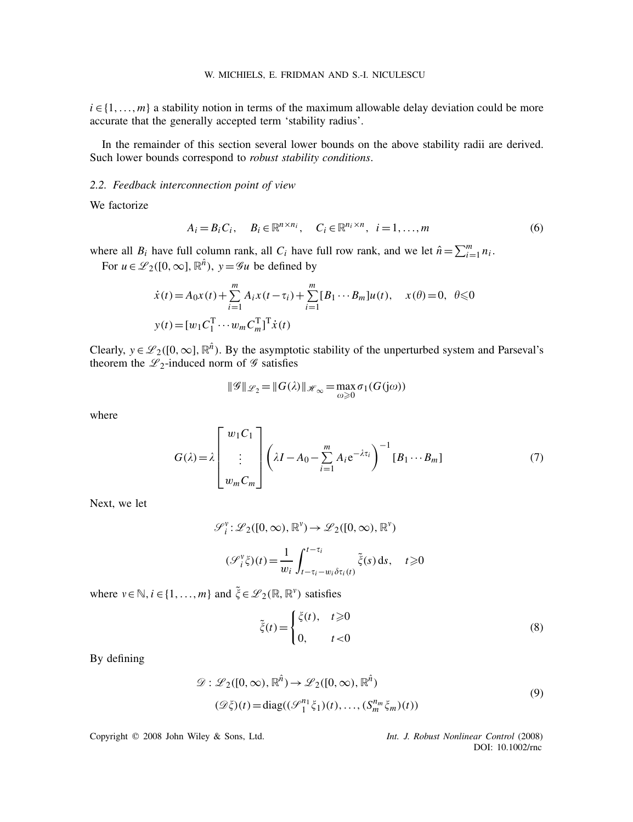$i \in \{1, \ldots, m\}$  a stability notion in terms of the maximum allowable delay deviation could be more accurate that the generally accepted term 'stability radius'.

In the remainder of this section several lower bounds on the above stability radii are derived. Such lower bounds correspond to *robust stability conditions*.

# *2.2. Feedback interconnection point of view*

We factorize

$$
A_i = B_i C_i, \quad B_i \in \mathbb{R}^{n \times n_i}, \quad C_i \in \mathbb{R}^{n_i \times n}, \quad i = 1, \dots, m
$$

where all  $B_i$  have full column rank, all  $C_i$  have full row rank, and we let  $\hat{n} = \sum_{i=1}^m n_i$ .

For  $u \in \mathcal{L}_2([0,\infty], \mathbb{R}^{\hat{n}})$ ,  $y = \mathcal{G}u$  be defined by

$$
\dot{x}(t) = A_0 x(t) + \sum_{i=1}^{m} A_i x(t - \tau_i) + \sum_{i=1}^{m} [B_1 \cdots B_m] u(t), \quad x(\theta) = 0, \ \theta \le 0
$$
  

$$
y(t) = [w_1 C_1^T \cdots w_m C_m^T]^T \dot{x}(t)
$$

Clearly,  $y \in \mathcal{L}_2([0,\infty], \mathbb{R}^n)$ . By the asymptotic stability of the unperturbed system and Parseval's theorem the  $\mathscr{L}_2$ -induced norm of  $\mathscr{G}$  satisfies

$$
\|\mathcal{G}\|_{\mathcal{L}_2} = \|G(\lambda)\|_{\mathscr{H}_{\infty}} = \max_{\omega \geq 0} \sigma_1(G(j\omega))
$$

where

$$
G(\lambda) = \lambda \left[ \begin{array}{c} w_1 C_1 \\ \vdots \\ w_m C_m \end{array} \right] \left( \lambda I - A_0 - \sum_{i=1}^m A_i e^{-\lambda \tau_i} \right)^{-1} [B_1 \cdots B_m]
$$
(7)

Next, we let

$$
\mathcal{S}_i^v: \mathcal{L}_2([0,\infty), \mathbb{R}^v) \to \mathcal{L}_2([0,\infty), \mathbb{R}^v)
$$

$$
(\mathcal{S}_i^v \xi)(t) = \frac{1}{w_i} \int_{t-\tau_i - w_i \delta \tau_i(t)}^{t-\tau_i} \tilde{\xi}(s) \, ds, \quad t \ge 0
$$

where  $v \in \mathbb{N}, i \in \{1, ..., m\}$  and  $\tilde{\xi} \in \mathcal{L}_2(\mathbb{R}, \mathbb{R}^{\nu})$  satisfies

$$
\tilde{\xi}(t) = \begin{cases} \xi(t), & t \geq 0 \\ 0, & t < 0 \end{cases} \tag{8}
$$

By defining

$$
\mathcal{D}: \mathcal{L}_2([0,\infty), \mathbb{R}^{\hat{n}}) \to \mathcal{L}_2([0,\infty), \mathbb{R}^{\hat{n}})
$$
  

$$
(\mathcal{D}\xi)(t) = \text{diag}((\mathcal{S}_1^{n_1}\xi_1)(t), \dots, (S_m^{n_m}\xi_m)(t))
$$
 (9)

Copyright q 2008 John Wiley & Sons, Ltd. *Int. J. Robust Nonlinear Control* (2008)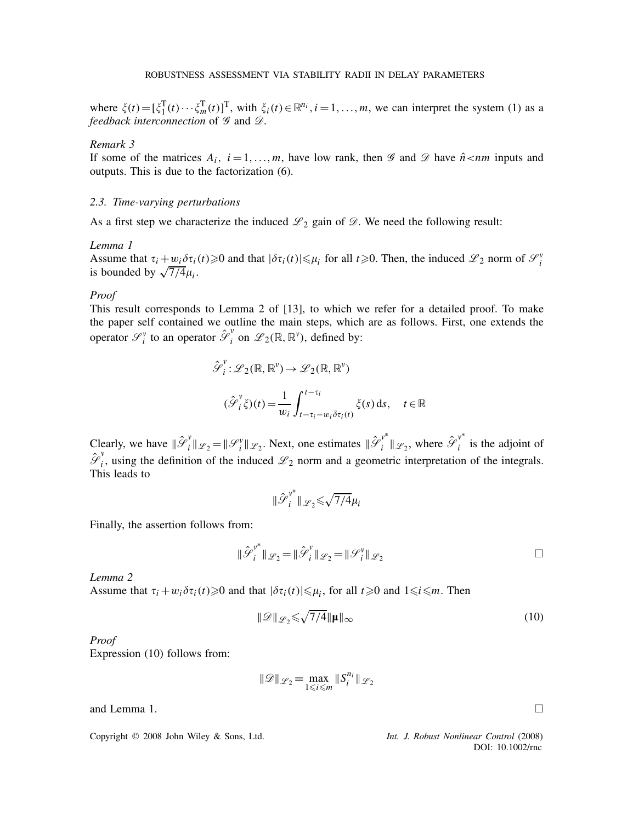where  $\xi(t) = [\xi_1^T(t) \cdots \xi_m^T(t)]^T$ , with  $\xi_i(t) \in \mathbb{R}^{n_i}$ ,  $i = 1, ..., m$ , we can interpret the system (1) as a *feedback interconnection* of  $\mathcal G$  and  $\mathcal D$ .

# *Remark 3*

If some of the matrices  $A_i$ ,  $i = 1, \ldots, m$ , have low rank, then  $\mathscr G$  and  $\mathscr D$  have  $\hat n$ <*nm* inputs and outputs. This is due to the factorization (6).

# *2.3. Time-varying perturbations*

As a first step we characterize the induced  $\mathcal{L}_2$  gain of  $\mathcal{D}$ . We need the following result:

#### *Lemma 1*

Assume that  $\tau_i + w_i \delta \tau_i(t) \ge 0$  and that  $|\delta \tau_i(t)| \le \mu_i$  for all  $t \ge 0$ . Then, the induced  $\mathcal{L}_2$  norm of  $\mathcal{S}_i^v$ is bounded by  $\sqrt{7/4}\mu_i$ .

# *Proof*

This result corresponds to Lemma 2 of [13], to which we refer for a detailed proof. To make the paper self contained we outline the main steps, which are as follows. First, one extends the operator  $\mathscr{S}_i^v$  to an operator  $\hat{\mathscr{S}}_i^v$  on  $\mathscr{L}_2(\mathbb{R}, \mathbb{R}^v)$ , defined by:

$$
\hat{\mathcal{S}}_i^v: \mathcal{L}_2(\mathbb{R}, \mathbb{R}^v) \to \mathcal{L}_2(\mathbb{R}, \mathbb{R}^v)
$$
  

$$
(\hat{\mathcal{S}}_i^v \xi)(t) = \frac{1}{w_i} \int_{t-\tau_i - w_i \delta \tau_i(t)}^{t-\tau_i} \xi(s) ds, \quad t \in \mathbb{R}
$$

Clearly, we have  $\|\hat{\mathscr{S}}_i^{\nu}\|_{\mathscr{L}_2} = \|\mathscr{S}_i^{\nu}\|_{\mathscr{L}_2}$ . Next, one estimates  $\|\hat{\mathscr{S}}_i^{\nu^*}\|_{\mathscr{L}_2}$ , where  $\hat{\mathscr{S}}_i^{\nu^*}$  is the adjoint of  $\hat{\mathcal{S}}_i^{\nu}$ , using the definition of the induced  $\mathcal{L}_2$  norm and a geometric interpretation of the integrals. This leads to

$$
\|\hat{\boldsymbol{\mathcal{S}}}^{v^*}_i\|_{\mathscr{L}_2} \leq \sqrt{7/4}\mu_i
$$

Finally, the assertion follows from:

$$
\|\hat{\boldsymbol{\mathscr{S}}}^{v^*}_i\|_{\mathscr{L}_2} \!=\! \|\hat{\boldsymbol{\mathscr{S}}}^{v}_i\|_{\mathscr{L}_2} \!=\! \|\boldsymbol{\mathscr{S}}^{v}_i\|_{\mathscr{L}_2} \qquad \qquad \square
$$

*Lemma 2*

Assume that  $\tau_i + w_i \delta \tau_i(t) \ge 0$  and that  $|\delta \tau_i(t)| \le \mu_i$ , for all  $t \ge 0$  and  $1 \le i \le m$ . Then

$$
\|\mathcal{D}\|_{\mathcal{L}_2} \leq \sqrt{7/4} \|\mu\|_{\infty} \tag{10}
$$

*Proof* Expression (10) follows from:

$$
\|\mathcal{D}\|_{\mathcal{L}_2} = \max_{1 \leq i \leq m} \|S_i^{n_i}\|_{\mathcal{L}_2}
$$

and Lemma 1.

Copyright q 2008 John Wiley & Sons, Ltd. *Int. J. Robust Nonlinear Control* (2008)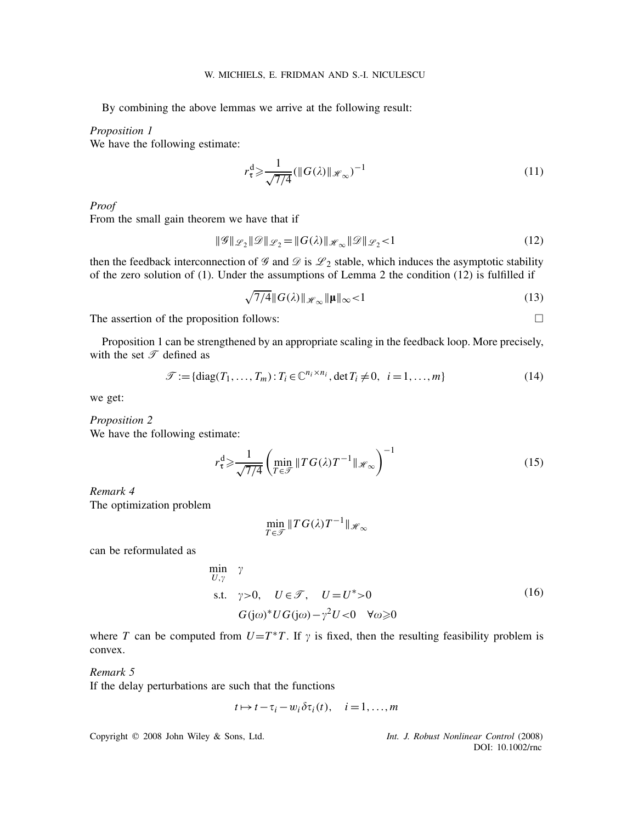# W. MICHIELS, E. FRIDMAN AND S.-I. NICULESCU

By combining the above lemmas we arrive at the following result:

#### *Proposition 1*

We have the following estimate:

$$
r_{\tau}^{\mathrm{d}} \geqslant \frac{1}{\sqrt{7/4}} (\|G(\lambda)\|_{\mathcal{H}_{\infty}})^{-1} \tag{11}
$$

*Proof*

From the small gain theorem we have that if

$$
\|\mathcal{G}\|_{\mathcal{L}_2} \|\mathcal{D}\|_{\mathcal{L}_2} = \|G(\lambda)\|_{\mathcal{H}_{\infty}} \|\mathcal{D}\|_{\mathcal{L}_2} < 1 \tag{12}
$$

then the feedback interconnection of  $\mathcal G$  and  $\mathcal D$  is  $\mathcal L_2$  stable, which induces the asymptotic stability of the zero solution of (1). Under the assumptions of Lemma 2 the condition (12) is fulfilled if

$$
\sqrt{7/4} \|G(\lambda)\|_{\mathscr{H}_{\infty}} \|\mu\|_{\infty} < 1 \tag{13}
$$

The assertion of the proposition follows:  $\Box$ 

Proposition 1 can be strengthened by an appropriate scaling in the feedback loop. More precisely, with the set  $\mathcal T$  defined as

$$
\mathcal{F} := \{ \text{diag}(T_1, \dots, T_m) : T_i \in \mathbb{C}^{n_i \times n_i}, \text{det } T_i \neq 0, \ i = 1, \dots, m \}
$$
(14)

we get:

*Proposition 2* We have the following estimate:

$$
r_{\tau}^{\mathrm{d}} \ge \frac{1}{\sqrt{7/4}} \left( \min_{T \in \mathcal{F}} \| T G(\lambda) T^{-1} \|_{\mathcal{H}_{\infty}} \right)^{-1} \tag{15}
$$

*Remark 4* The optimization problem

 $\min_{T \in \mathcal{F}} \|T G(\lambda) T^{-1}\|_{\mathcal{H}_{\infty}}$ 

can be reformulated as

$$
\min_{U,\gamma} \gamma
$$
  
s.t.  $\gamma > 0$ ,  $U \in \mathcal{T}$ ,  $U = U^* > 0$   
 $G(j\omega)^* U G(j\omega) - \gamma^2 U < 0 \quad \forall \omega \ge 0$  (16)

where *T* can be computed from  $U = T^*T$ . If  $\gamma$  is fixed, then the resulting feasibility problem is convex.

*Remark 5*

If the delay perturbations are such that the functions

$$
t \mapsto t - \tau_i - w_i \delta \tau_i(t), \quad i = 1, \dots, m
$$

Copyright q 2008 John Wiley & Sons, Ltd. *Int. J. Robust Nonlinear Control* (2008)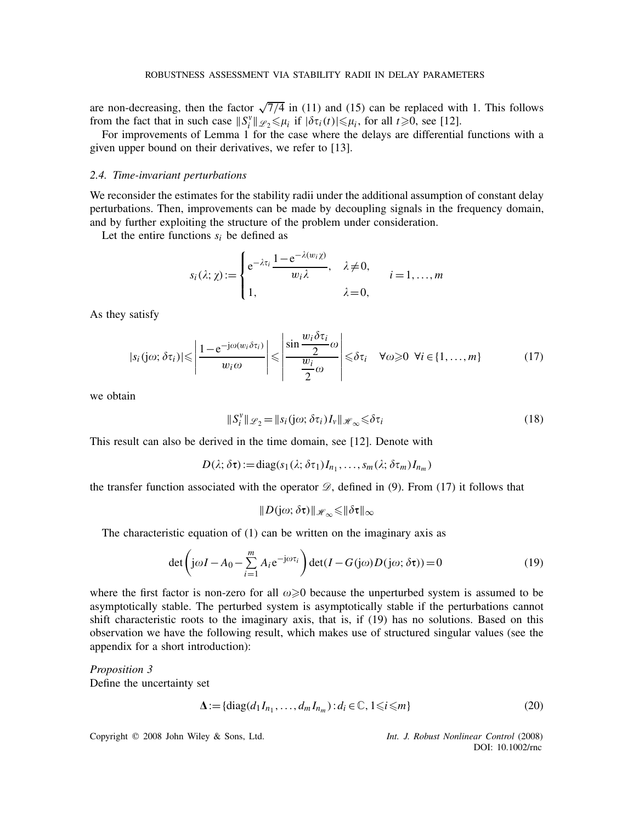are non-decreasing, then the factor  $\sqrt{7/4}$  in (11) and (15) can be replaced with 1. This follows from the fact that in such case  $||S_i^v||_{\mathcal{L}_2} \le \mu_i$  if  $|\delta \tau_i(t)| \le \mu_i$ , for all  $t \ge 0$ , see [12].

For improvements of Lemma 1 for the case where the delays are differential functions with a given upper bound on their derivatives, we refer to [13].

## *2.4. Time-invariant perturbations*

We reconsider the estimates for the stability radii under the additional assumption of constant delay perturbations. Then, improvements can be made by decoupling signals in the frequency domain, and by further exploiting the structure of the problem under consideration.

Let the entire functions  $s_i$  be defined as

$$
s_i(\lambda; \chi) := \begin{cases} e^{-\lambda \tau_i} \frac{1 - e^{-\lambda(w_i \chi)}}{w_i \lambda}, & \lambda \neq 0, \\ 1, & \lambda = 0, \end{cases} \quad i = 1, ..., m
$$

As they satisfy

$$
|s_i(j\omega;\delta\tau_i)| \leq \left|\frac{1 - e^{-j\omega(w_i\delta\tau_i)}}{w_i\omega}\right| \leq \left|\frac{\sin\frac{w_i\delta\tau_i}{2}\omega}{\frac{w_i}{2}\omega}\right| \leq \delta\tau_i \quad \forall \omega \geq 0 \ \forall i \in \{1, ..., m\}
$$
 (17)

we obtain

$$
||S_i^{\nu}||_{\mathcal{L}_2} = ||s_i(j\omega; \delta\tau_i)I_{\nu}||_{\mathcal{H}_{\infty}} \le \delta\tau_i
$$
\n(18)

This result can also be derived in the time domain, see [12]. Denote with

$$
D(\lambda; \delta \tau) := \mathrm{diag}(s_1(\lambda; \delta \tau_1) I_{n_1}, \ldots, s_m(\lambda; \delta \tau_m) I_{n_m})
$$

the transfer function associated with the operator  $\mathcal{D}$ , defined in (9). From (17) it follows that

$$
\|D(\mathrm{j}\omega;\delta\mathbf{t})\|_{\mathscr{H}_\infty}\hspace{-1mm}\leqslant\hspace{-1mm}\|\delta\mathbf{t}\|_\infty
$$

The characteristic equation of (1) can be written on the imaginary axis as

$$
\det \left( j\omega I - A_0 - \sum_{i=1}^{m} A_i e^{-j\omega \tau_i} \right) \det(I - G(j\omega)D(j\omega; \delta \tau)) = 0
$$
\n(19)

where the first factor is non-zero for all  $\omega \geq 0$  because the unperturbed system is assumed to be asymptotically stable. The perturbed system is asymptotically stable if the perturbations cannot shift characteristic roots to the imaginary axis, that is, if (19) has no solutions. Based on this observation we have the following result, which makes use of structured singular values (see the appendix for a short introduction):

*Proposition 3* Define the uncertainty set

$$
\Delta := \{ \text{diag}(d_1 I_{n_1}, \dots, d_m I_{n_m}) : d_i \in \mathbb{C}, 1 \leq i \leq m \}
$$
\n
$$
(20)
$$

Copyright q 2008 John Wiley & Sons, Ltd. *Int. J. Robust Nonlinear Control* (2008)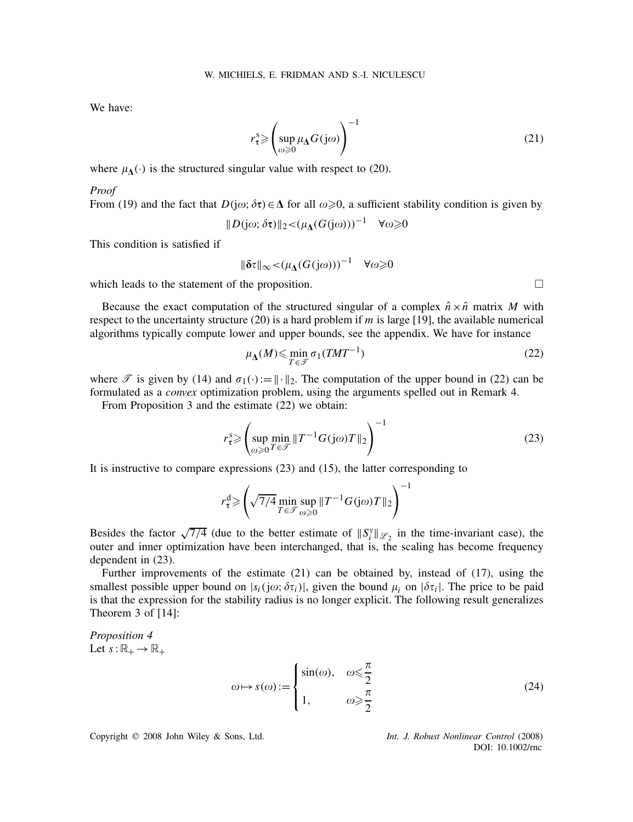We have:

$$
r_{\tau}^{s} \geq \left(\sup_{\omega \geq 0} \mu_{\Delta} G(j\omega)\right)^{-1} \tag{21}
$$

where  $\mu_{\Delta}(\cdot)$  is the structured singular value with respect to (20).

*Proof*

From (19) and the fact that  $D(j\omega; \delta\tau) \in \Delta$  for all  $\omega \geq 0$ , a sufficient stability condition is given by

$$
||D(j\omega;\delta\tau)||_2 < (\mu_{\Delta}(G(j\omega)))^{-1} \quad \forall \omega \geq 0
$$

This condition is satisfied if

$$
\|\delta\tau\|_{\infty} < (\mu_{\Delta}(G(j\omega)))^{-1} \quad \forall \omega \geq 0
$$

which leads to the statement of the proposition.  $\Box$ 

Because the exact computation of the structured singular of a complex  $\hat{n} \times \hat{n}$  matrix *M* with respect to the uncertainty structure (20) is a hard problem if *m* is large [19], the available numerical algorithms typically compute lower and upper bounds, see the appendix. We have for instance

$$
\mu_{\Delta}(M) \leq \min_{T \in \mathcal{F}} \sigma_1(TMT^{-1})
$$
\n(22)

where  $\mathcal T$  is given by (14) and  $\sigma_1(\cdot) := ||\cdot||_2$ . The computation of the upper bound in (22) can be formulated as a *convex* optimization problem, using the arguments spelled out in Remark 4.

From Proposition 3 and the estimate (22) we obtain:

$$
r_{\tau}^s \geqslant \left(\sup_{\omega \geqslant 0} \min_{T \in \mathcal{F}} \|T^{-1} G(j\omega) T\|_2\right)^{-1} \tag{23}
$$

It is instructive to compare expressions (23) and (15), the latter corresponding to

$$
r_{\tau}^{\mathrm{d}} \geq \left(\sqrt{7/4} \min_{T \in \mathcal{F}} \sup_{\omega \geq 0} \|T^{-1} G(j\omega)T\|_2\right)^{-1}
$$

Besides the factor  $\sqrt{7/4}$  (due to the better estimate of  $||S_i^v||_{\mathcal{L}_2}$  in the time-invariant case), the outer and inner optimization have been interchanged, that is, the scaling has become frequency dependent in (23).

Further improvements of the estimate (21) can be obtained by, instead of (17), using the smallest possible upper bound on  $|s_i(j\omega; \delta\tau_i)|$ , given the bound  $\mu_i$  on  $|\delta\tau_i|$ . The price to be paid is that the expression for the stability radius is no longer explicit. The following result generalizes Theorem 3 of [14]:

*Proposition 4* Let  $s:\mathbb{R}_+\to\mathbb{R}_+$ 

$$
\omega \mapsto s(\omega) := \begin{cases} \sin(\omega), & \omega \leq \frac{\pi}{2} \\ 1, & \omega \geq \frac{\pi}{2} \end{cases} \tag{24}
$$

Copyright q 2008 John Wiley & Sons, Ltd. *Int. J. Robust Nonlinear Control* (2008)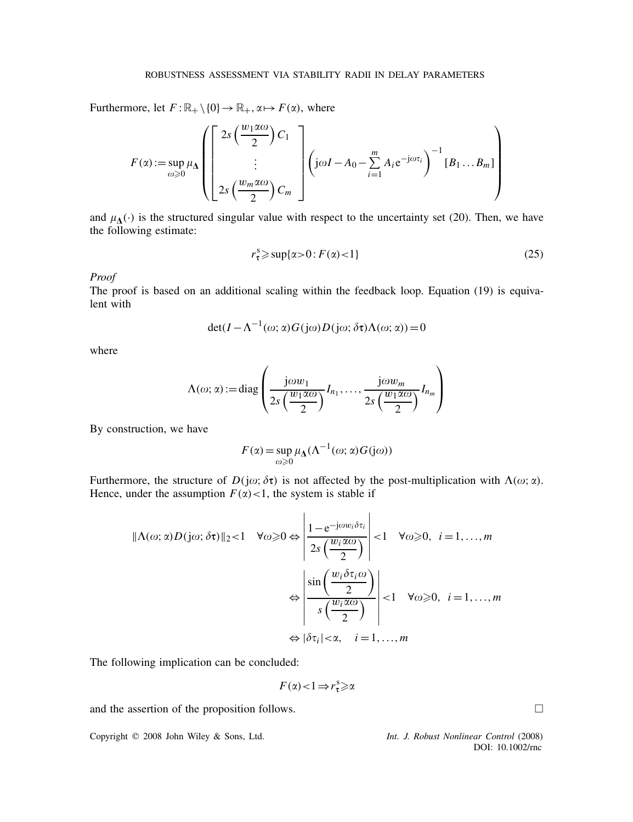Furthermore, let  $F: \mathbb{R}_+ \setminus \{0\} \to \mathbb{R}_+$ ,  $\alpha \mapsto F(\alpha)$ , where

$$
F(\alpha) := \sup_{\omega \geq 0} \mu_{\Delta} \left( \begin{bmatrix} 2s \left( \frac{w_1 \alpha \omega}{2} \right) C_1 \\ \vdots \\ 2s \left( \frac{w_m \alpha \omega}{2} \right) C_m \end{bmatrix} \left( j \omega I - A_0 - \sum_{i=1}^m A_i e^{-j \omega \tau_i} \right)^{-1} [B_1 ... B_m] \right)
$$

and  $\mu_{\Delta}(\cdot)$  is the structured singular value with respect to the uncertainty set (20). Then, we have the following estimate:

$$
r_{\tau}^s \geqslant \sup\{\alpha > 0 : F(\alpha) < 1\} \tag{25}
$$

*Proof*

The proof is based on an additional scaling within the feedback loop. Equation (19) is equivalent with

$$
\det(I - \Lambda^{-1}(\omega; \alpha) G(j\omega) D(j\omega; \delta \tau) \Lambda(\omega; \alpha)) = 0
$$

where

$$
\Lambda(\omega; \alpha) := \text{diag}\left(\frac{j\omega w_1}{2s\left(\frac{w_1\alpha\omega}{2}\right)}I_{n_1}, \dots, \frac{j\omega w_m}{2s\left(\frac{w_1\alpha\omega}{2}\right)}I_{n_m}\right)
$$

By construction, we have

$$
F(\alpha) = \sup_{\omega \ge 0} \mu_{\Delta}(\Lambda^{-1}(\omega; \alpha) G(j\omega))
$$

Furthermore, the structure of  $D(j\omega; \delta\tau)$  is not affected by the post-multiplication with  $\Lambda(\omega; \alpha)$ . Hence, under the assumption  $F(\alpha)$  < 1, the system is stable if

$$
\|\Lambda(\omega;\alpha)D(j\omega;\delta\tau)\|_{2}<1 \quad \forall \omega \geq 0 \Leftrightarrow \left|\frac{1-e^{-j\omega w_{i}\delta\tau_{i}}}{2s\left(\frac{w_{i}\alpha\omega}{2}\right)}\right|<1 \quad \forall \omega \geq 0, \quad i=1,\ldots,m
$$

$$
\Leftrightarrow \left|\frac{\sin\left(\frac{w_{i}\delta\tau_{i}\omega}{2}\right)}{s\left(\frac{w_{i}\alpha\omega}{2}\right)}\right|<1 \quad \forall \omega \geq 0, \quad i=1,\ldots,m
$$

$$
\Leftrightarrow |\delta\tau_{i}|<\alpha, \quad i=1,\ldots,m
$$

The following implication can be concluded:

$$
F(\alpha) < 1 \Rightarrow r_{\tau}^{s} \geq \alpha
$$

and the assertion of the proposition follows.  $\Box$ 

Copyright q 2008 John Wiley & Sons, Ltd. *Int. J. Robust Nonlinear Control* (2008)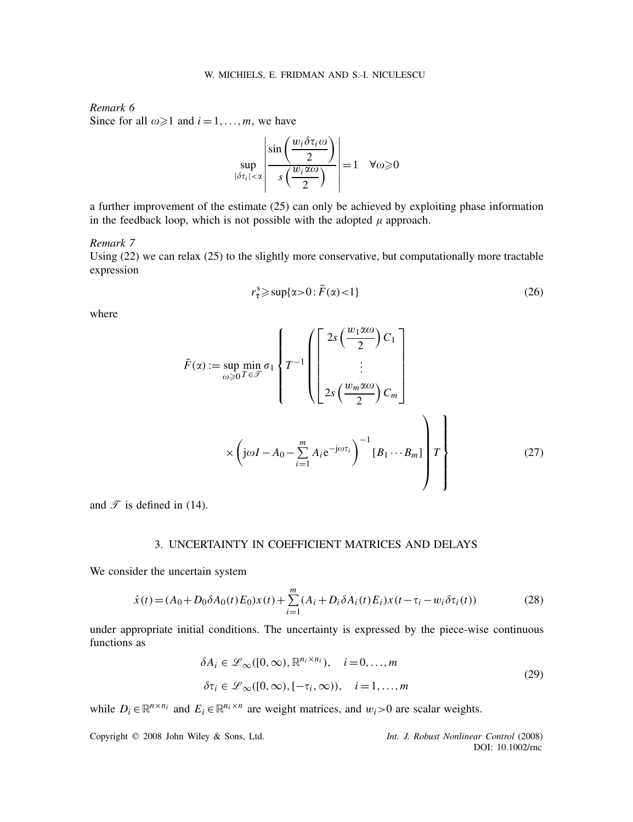*Remark 6*

Since for all  $\omega \ge 1$  and  $i = 1, \ldots, m$ , we have

$$
\sup_{|\delta \tau_i| < \alpha} \left| \frac{\sin \left( \frac{w_i \delta \tau_i \omega}{2} \right)}{s \left( \frac{w_i \alpha \omega}{2} \right)} \right| = 1 \quad \forall \omega \geq 0
$$

a further improvement of the estimate (25) can only be achieved by exploiting phase information in the feedback loop, which is not possible with the adopted  $\mu$  approach.

#### *Remark 7*

Using (22) we can relax (25) to the slightly more conservative, but computationally more tractable expression

$$
r_{\tau}^{\rm s} \ge \sup\{\alpha > 0 : \tilde{F}(\alpha) < 1\} \tag{26}
$$

where

$$
\tilde{F}(\alpha) := \sup_{\omega \ge 0} \min_{T \in \mathcal{F}} \sigma_1 \left\{ T^{-1} \left( \begin{bmatrix} 2s \left( \frac{w_1 \alpha \omega}{2} \right) C_1 \\ \vdots \\ 2s \left( \frac{w_m \alpha \omega}{2} \right) C_m \end{bmatrix} \right. \\ \times \left( j\omega I - A_0 - \sum_{i=1}^m A_i e^{-j\omega \tau_i} \right)^{-1} \left[ B_1 \cdots B_m \right] T \right\} \tag{27}
$$

and  $\mathcal{T}$  is defined in (14).

# 3. UNCERTAINTY IN COEFFICIENT MATRICES AND DELAYS

We consider the uncertain system

$$
\dot{x}(t) = (A_0 + D_0 \delta A_0(t) E_0) x(t) + \sum_{i=1}^{m} (A_i + D_i \delta A_i(t) E_i) x(t - \tau_i - w_i \delta \tau_i(t))
$$
\n(28)

under appropriate initial conditions. The uncertainty is expressed by the piece-wise continuous functions as

$$
\delta A_i \in \mathcal{L}_{\infty}([0, \infty), \mathbb{R}^{n_i \times n_i}), \quad i = 0, ..., m
$$
  

$$
\delta \tau_i \in \mathcal{L}_{\infty}([0, \infty), [-\tau_i, \infty)), \quad i = 1, ..., m
$$
 (29)

while  $D_i \in \mathbb{R}^{n \times n_i}$  and  $E_i \in \mathbb{R}^{n_i \times n}$  are weight matrices, and  $w_i > 0$  are scalar weights.

Copyright q 2008 John Wiley & Sons, Ltd. *Int. J. Robust Nonlinear Control* (2008)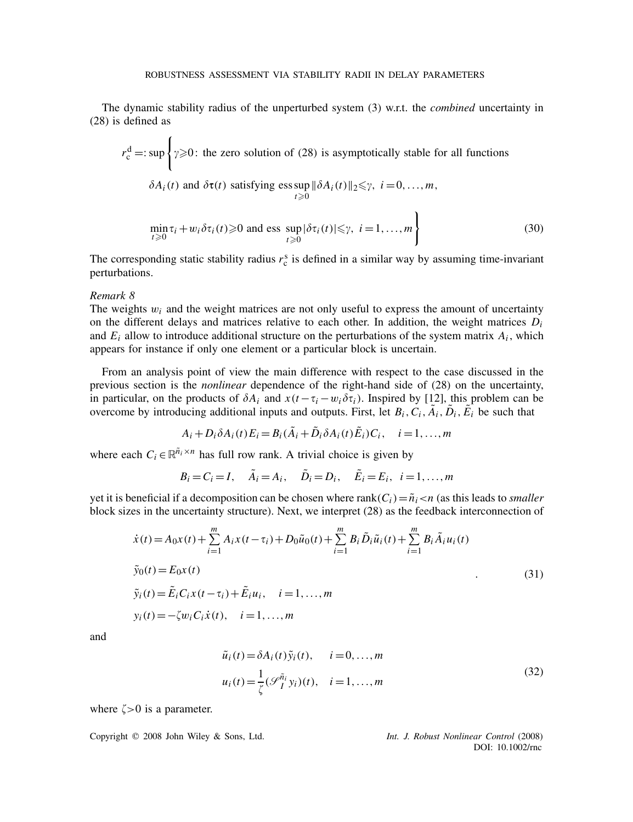The dynamic stability radius of the unperturbed system (3) w.r.t. the *combined* uncertainty in (28) is defined as

$$
r_c^d =: \sup \left\{ \gamma \geqslant 0: \text{ the zero solution of (28) is asymptotically stable for all functions} \right\}
$$

$$
\delta A_i(t) \text{ and } \delta \tau(t) \text{ satisfying } \underset{t \geqslant 0}{\text{ess sup}} \|\delta A_i(t)\|_2 \leqslant \gamma, \ i = 0, \dots, m,
$$

$$
\underset{t \geqslant 0}{\text{min}} \tau_i + w_i \delta \tau_i(t) \geqslant 0 \text{ and } \underset{t \geqslant 0}{\text{ess sup}} \|\delta \tau_i(t)\| \leqslant \gamma, \ i = 1, \dots, m \right\} \tag{30}
$$

The corresponding static stability radius  $r_c^s$  is defined in a similar way by assuming time-invariant perturbations.

## *Remark 8*

The weights  $w_i$  and the weight matrices are not only useful to express the amount of uncertainty on the different delays and matrices relative to each other. In addition, the weight matrices  $D_i$ and  $E_i$  allow to introduce additional structure on the perturbations of the system matrix  $A_i$ , which appears for instance if only one element or a particular block is uncertain.

From an analysis point of view the main difference with respect to the case discussed in the previous section is the *nonlinear* dependence of the right-hand side of (28) on the uncertainty, in particular, on the products of  $\delta A_i$  and  $x(t - \tau_i - w_i \delta \tau_i)$ . Inspired by [12], this problem can be overcome by introducing additional inputs and outputs. First, let  $B_i$ ,  $C_i$ ,  $\tilde{A}_i$ ,  $\tilde{D}_i$ ,  $\tilde{E}_i$  be such that

$$
A_i + D_i \delta A_i(t) E_i = B_i(\tilde{A}_i + \tilde{D}_i \delta A_i(t) \tilde{E}_i) C_i, \quad i = 1, ..., m
$$

where each  $C_i \in \mathbb{R}^{\tilde{n}_i \times n}$  has full row rank. A trivial choice is given by

$$
B_i = C_i = I, \quad \tilde{A}_i = A_i, \quad \tilde{D}_i = D_i, \quad \tilde{E}_i = E_i, \quad i = 1, \dots, m
$$

yet it is beneficial if a decomposition can be chosen where  $rank(C_i) = \tilde{n}_i < n$  (as this leads to *smaller* block sizes in the uncertainty structure). Next, we interpret (28) as the feedback interconnection of

$$
\dot{x}(t) = A_0 x(t) + \sum_{i=1}^{m} A_i x(t - \tau_i) + D_0 \tilde{u}_0(t) + \sum_{i=1}^{m} B_i \tilde{D}_i \tilde{u}_i(t) + \sum_{i=1}^{m} B_i \tilde{A}_i u_i(t)
$$
  
\n
$$
\tilde{y}_0(t) = E_0 x(t)
$$
  
\n
$$
\tilde{y}_i(t) = \tilde{E}_i C_i x(t - \tau_i) + \tilde{E}_i u_i, \quad i = 1, ..., m
$$
  
\n
$$
y_i(t) = -\zeta w_i C_i \dot{x}(t), \quad i = 1, ..., m
$$
\n(31)

and

$$
\tilde{u}_i(t) = \delta A_i(t) \tilde{y}_i(t), \qquad i = 0, \dots, m
$$
  

$$
u_i(t) = \frac{1}{\zeta} (\mathcal{S}_I^{\tilde{n}_i} y_i)(t), \quad i = 1, \dots, m
$$
\n(32)

where  $\zeta > 0$  is a parameter.

Copyright q 2008 John Wiley & Sons, Ltd. *Int. J. Robust Nonlinear Control* (2008)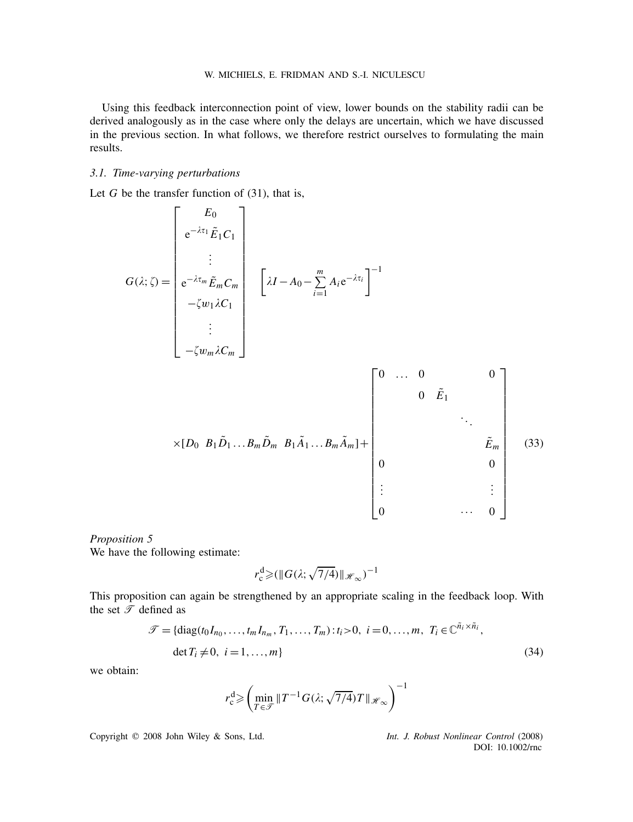Using this feedback interconnection point of view, lower bounds on the stability radii can be derived analogously as in the case where only the delays are uncertain, which we have discussed in the previous section. In what follows, we therefore restrict ourselves to formulating the main results.

# *3.1. Time-varying perturbations*

Let *G* be the transfer function of (31), that is,

$$
G(\lambda; \zeta) = \begin{bmatrix} E_0 \\ e^{-\lambda \tau_1} \tilde{E}_1 C_1 \\ \vdots \\ e^{-\lambda \tau_m} \tilde{E}_m C_m \\ -\zeta w_1 \lambda C_1 \\ \vdots \\ -\zeta w_m \lambda C_m \end{bmatrix} \begin{bmatrix} \lambda I - A_0 - \sum_{i=1}^m A_i e^{-\lambda \tau_i} \end{bmatrix}^{-1}
$$

$$
\times [D_0 \quad B_1 \tilde{D}_1 \dots B_m \tilde{D}_m \quad B_1 \tilde{A}_1 \dots B_m \tilde{A}_m] + \begin{bmatrix} 0 & E_1 \\ \vdots & \vdots \\ 0 & 0 \\ \vdots & \vdots \\ 0 & \cdots & 0 \end{bmatrix} \tag{33}
$$

*Proposition 5* We have the following estimate:

$$
r_{\rm c}^{\rm d} \geq (\|G(\lambda;\sqrt{7/4})\|_{\mathscr{H}_{\infty}})^{-1}
$$

This proposition can again be strengthened by an appropriate scaling in the feedback loop. With the set  $\mathcal T$  defined as

$$
\mathcal{F} = \{ \text{diag}(t_0 I_{n_0}, \dots, t_m I_{n_m}, T_1, \dots, T_m) : t_i > 0, \ i = 0, \dots, m, \ T_i \in \mathbb{C}^{\tilde{n}_i \times \tilde{n}_i},
$$
  
\n
$$
\text{det } T_i \neq 0, \ i = 1, \dots, m \}
$$
\n(34)

we obtain:

$$
r_{\mathrm{c}}^{\mathrm{d}} \geqslant \left( \min_{T \in \mathcal{F}} \| T^{-1} G(\lambda; \sqrt{7/4}) T \|_{\mathcal{H}_{\infty}} \right)^{-1}
$$

Copyright q 2008 John Wiley & Sons, Ltd. *Int. J. Robust Nonlinear Control* (2008)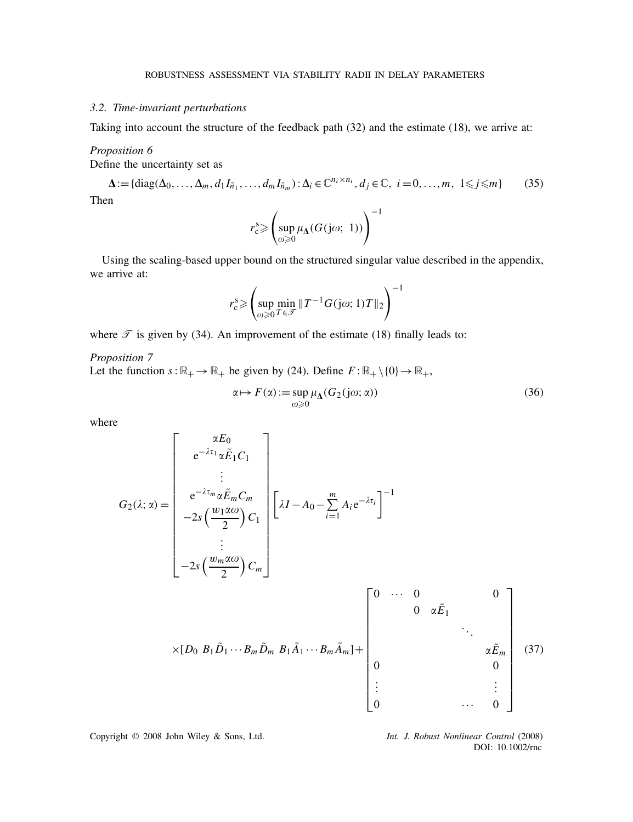# *3.2. Time-invariant perturbations*

Taking into account the structure of the feedback path (32) and the estimate (18), we arrive at:

#### *Proposition 6*

Define the uncertainty set as

$$
\Delta := \{ \text{diag}(\Delta_0, \dots, \Delta_m, d_1 I_{\tilde{n}_1}, \dots, d_m I_{\tilde{n}_m}) : \Delta_i \in \mathbb{C}^{n_i \times n_i}, d_j \in \mathbb{C}, \ i = 0, \dots, m, \ 1 \leq j \leq m \}
$$
 (35)  
Then

$$
r_{\text{c}}^{\text{S}}{\geqslant}\left(\sup_{\omega\geqslant 0}\mu_{\Delta}(G(\mathrm{j}\omega; \ \, 1))\right)^{-1}
$$

Using the scaling-based upper bound on the structured singular value described in the appendix, we arrive at:

$$
r_{\mathrm{c}}^{\mathrm{s}} \geq \left(\sup_{\omega \geq 0} \min_{T \in \mathcal{F}} \|T^{-1}G(\mathrm{j}\omega; 1)T\|_2\right)^{-1}
$$

where  $\mathcal T$  is given by (34). An improvement of the estimate (18) finally leads to:

*Proposition 7* Let the function  $s:\mathbb{R}_+ \to \mathbb{R}_+$  be given by (24). Define  $F:\mathbb{R}_+ \setminus \{0\} \to \mathbb{R}_+$ ,

$$
\alpha \mapsto F(\alpha) := \sup_{\omega \ge 0} \mu_{\Delta}(G_2(j\omega; \alpha)) \tag{36}
$$

*. .*

where

$$
G_{2}(\lambda; \alpha) = \begin{bmatrix} \alpha E_{0} \\ e^{-\lambda \tau_{1}} \alpha \tilde{E}_{1} C_{1} \\ \vdots \\ e^{-\lambda \tau_{m}} \alpha \tilde{E}_{m} C_{m} \\ -2s \left(\frac{w_{1} \alpha \omega}{2}\right) C_{1} \\ \vdots \\ -2s \left(\frac{w_{m} \alpha \omega}{2}\right) C_{m} \end{bmatrix} \begin{bmatrix} \lambda I - A_{0} - \sum_{i=1}^{m} A_{i} e^{-\lambda \tau_{i}} \end{bmatrix}^{-1}
$$

$$
\times [D_{0} B_{1} \tilde{D}_{1} \cdots B_{m} \tilde{D}_{m} B_{1} \tilde{A}_{1} \cdots B_{m} \tilde{A}_{m}] + \begin{bmatrix} 0 & \cdots & 0 & 0 \\ & 0 & \alpha \tilde{E}_{1} & \cdots \\ & & & \ddots & \\ 0 & & & 0 \\ \vdots & & & \vdots \\ 0 & & & & 0 \end{bmatrix} (37)
$$

Copyright q 2008 John Wiley & Sons, Ltd. *Int. J. Robust Nonlinear Control* (2008) DOI: 10.1002/rnc

*. .*  $\frac{1}{2}$  $\overline{\phantom{a}}$  $\mathbf{I}$ 

*. .*

 $0 \qquad \qquad \cdots \qquad 0$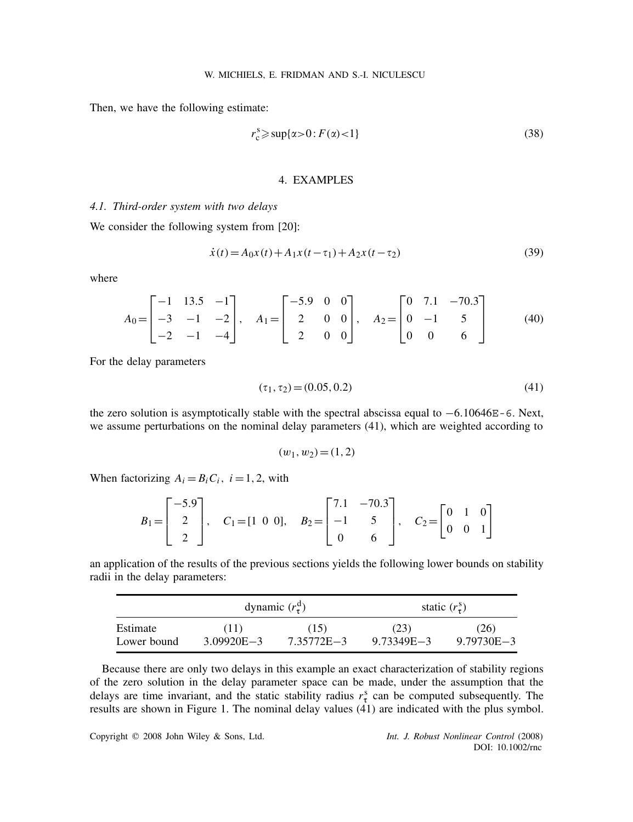Then, we have the following estimate:

$$
r_c^s \geqslant \sup\{\alpha > 0 : F(\alpha) < 1\}\tag{38}
$$

# 4. EXAMPLES

*4.1. Third-order system with two delays*

We consider the following system from [20]:

$$
\dot{x}(t) = A_0 x(t) + A_1 x(t - \tau_1) + A_2 x(t - \tau_2)
$$
\n(39)

where

$$
A_0 = \begin{bmatrix} -1 & 13.5 & -1 \\ -3 & -1 & -2 \\ -2 & -1 & -4 \end{bmatrix}, \quad A_1 = \begin{bmatrix} -5.9 & 0 & 0 \\ 2 & 0 & 0 \\ 2 & 0 & 0 \end{bmatrix}, \quad A_2 = \begin{bmatrix} 0 & 7.1 & -70.3 \\ 0 & -1 & 5 \\ 0 & 0 & 6 \end{bmatrix}
$$
(40)

For the delay parameters

$$
(\tau_1, \tau_2) = (0.05, 0.2) \tag{41}
$$

the zero solution is asymptotically stable with the spectral abscissa equal to −6*.*10646E-6. Next, we assume perturbations on the nominal delay parameters (41), which are weighted according to

$$
(w_1, w_2) = (1, 2)
$$

When factorizing  $A_i = B_i C_i$ ,  $i = 1, 2$ , with

$$
B_1 = \begin{bmatrix} -5.9 \\ 2 \\ 2 \end{bmatrix}, \quad C_1 = \begin{bmatrix} 1 & 0 & 0 \end{bmatrix}, \quad B_2 = \begin{bmatrix} 7.1 & -70.3 \\ -1 & 5 \\ 0 & 6 \end{bmatrix}, \quad C_2 = \begin{bmatrix} 0 & 1 & 0 \\ 0 & 0 & 1 \end{bmatrix}
$$

an application of the results of the previous sections yields the following lower bounds on stability radii in the delay parameters:

|             | dynamic $(r_{\tau}^d)$ |            | static $(r^s)$ |            |
|-------------|------------------------|------------|----------------|------------|
| Estimate    | (11)                   | (15)       | (23)           | (26)       |
| Lower bound | $3.09920E - 3$         | 7.35772E-3 | $9.73349E - 3$ | 9.79730E-3 |

Because there are only two delays in this example an exact characterization of stability regions of the zero solution in the delay parameter space can be made, under the assumption that the delays are time invariant, and the static stability radius  $r_{\tau}^{s}$  can be computed subsequently. The results are shown in Figure 1. The nominal delay values (41) are indicated with the plus symbol.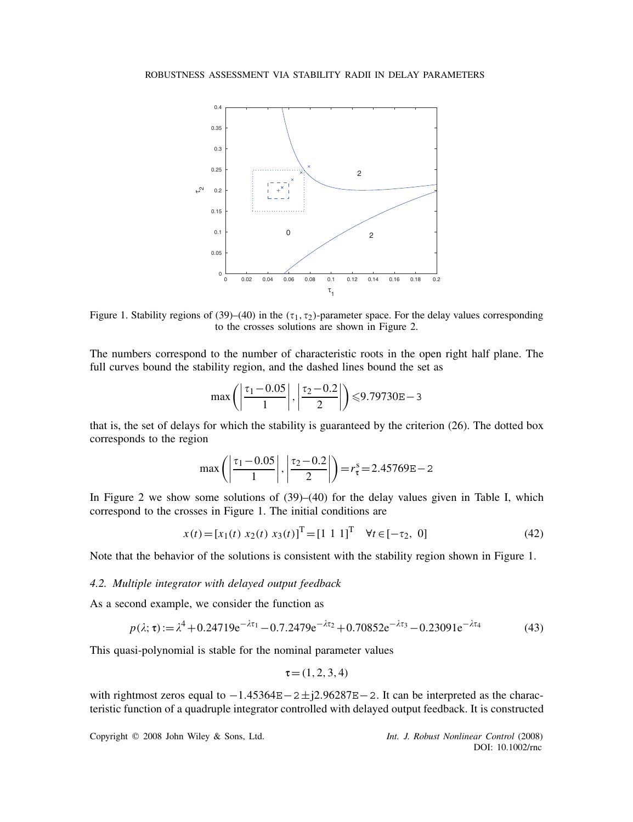

Figure 1. Stability regions of  $(39)$ – $(40)$  in the  $(\tau_1, \tau_2)$ -parameter space. For the delay values corresponding to the crosses solutions are shown in Figure 2.

The numbers correspond to the number of characteristic roots in the open right half plane. The full curves bound the stability region, and the dashed lines bound the set as

$$
\max\left(\left|\frac{\tau_1 - 0.05}{1}\right|, \left|\frac{\tau_2 - 0.2}{2}\right|\right) \leq 9.79730\,\text{E} - 3
$$

that is, the set of delays for which the stability is guaranteed by the criterion (26). The dotted box corresponds to the region

$$
\max\left(\left|\frac{\tau_1 - 0.05}{1}\right|, \left|\frac{\tau_2 - 0.2}{2}\right|\right) = r_{\tau}^s = 2.45769 \,\text{E} - 2
$$

In Figure 2 we show some solutions of (39)–(40) for the delay values given in Table I, which correspond to the crosses in Figure 1. The initial conditions are

$$
x(t) = [x_1(t) \ x_2(t) \ x_3(t)]^{\mathrm{T}} = [1 \ 1 \ 1]^{\mathrm{T}} \quad \forall t \in [-\tau_2, \ 0]
$$
\n
$$
(42)
$$

Note that the behavior of the solutions is consistent with the stability region shown in Figure 1.

# *4.2. Multiple integrator with delayed output feedback*

As a second example, we consider the function as

$$
p(\lambda; \tau) := \lambda^4 + 0.24719 e^{-\lambda \tau_1} - 0.7.2479 e^{-\lambda \tau_2} + 0.70852 e^{-\lambda \tau_3} - 0.23091 e^{-\lambda \tau_4}
$$
(43)

This quasi-polynomial is stable for the nominal parameter values

$$
\tau\!=\!(1,2,3,4)
$$

with rightmost zeros equal to  $-1.45364E-2±j2.96287E-2$ . It can be interpreted as the characteristic function of a quadruple integrator controlled with delayed output feedback. It is constructed

Copyright q 2008 John Wiley & Sons, Ltd. *Int. J. Robust Nonlinear Control* (2008)

```
DOI: 10.1002/rnc
```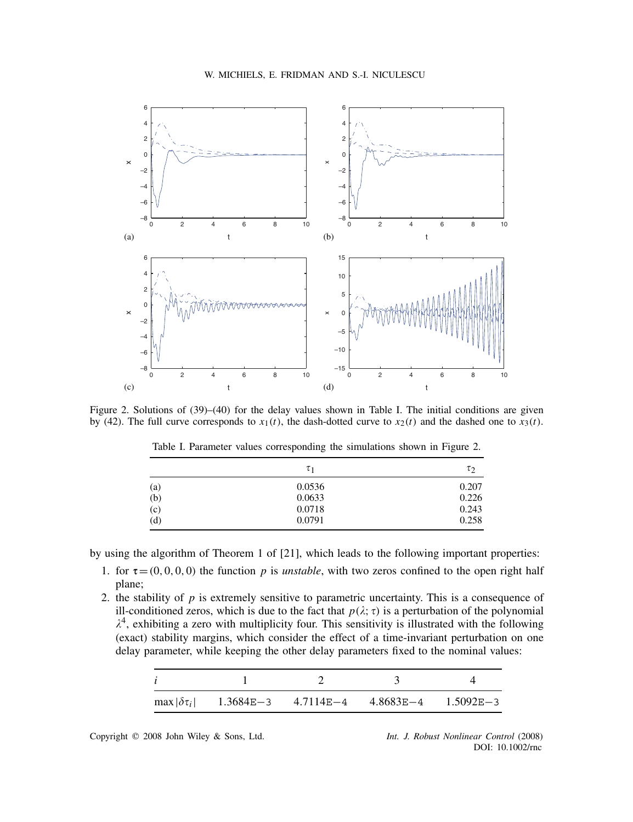

Figure 2. Solutions of (39)–(40) for the delay values shown in Table I. The initial conditions are given by (42). The full curve corresponds to  $x_1(t)$ , the dash-dotted curve to  $x_2(t)$  and the dashed one to  $x_3(t)$ .

|     | $\tau_1$ | $\tau_2$ |
|-----|----------|----------|
| (a) | 0.0536   | 0.207    |
| (b) | 0.0633   | 0.226    |
| (c) | 0.0718   | 0.243    |
| (d) | 0.0791   | 0.258    |

Table I. Parameter values corresponding the simulations shown in Figure 2.

by using the algorithm of Theorem 1 of [21], which leads to the following important properties:

- 1. for  $\tau = (0, 0, 0, 0)$  the function *p* is *unstable*, with two zeros confined to the open right half plane;
- 2. the stability of *p* is extremely sensitive to parametric uncertainty. This is a consequence of ill-conditioned zeros, which is due to the fact that  $p(\lambda; \tau)$  is a perturbation of the polynomial  $\lambda^4$ , exhibiting a zero with multiplicity four. This sensitivity is illustrated with the following (exact) stability margins, which consider the effect of a time-invariant perturbation on one delay parameter, while keeping the other delay parameters fixed to the nominal values:

|  | $\max \delta\tau_i $ 1.3684E-3 4.7114E-4 4.8683E-4 1.5092E-3 |  |
|--|--------------------------------------------------------------|--|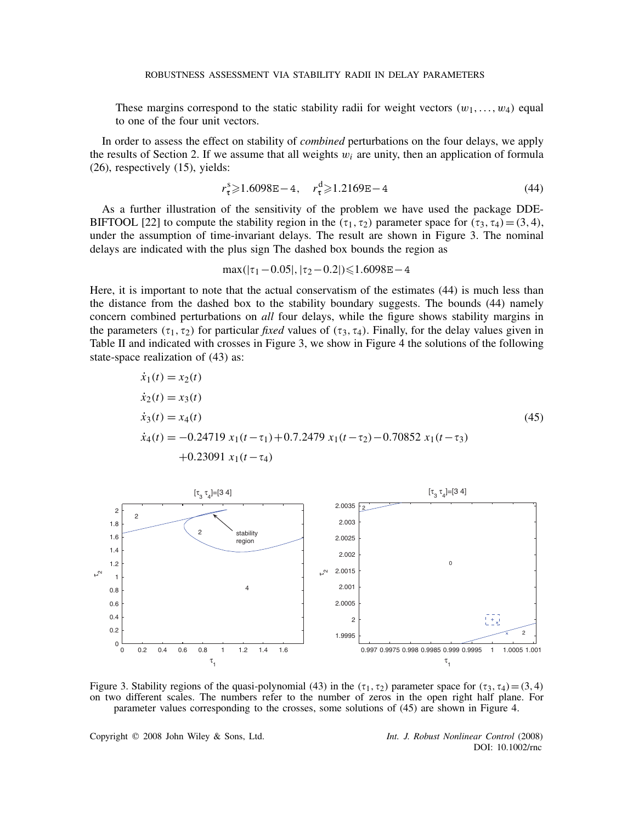These margins correspond to the static stability radii for weight vectors  $(w_1, \ldots, w_4)$  equal to one of the four unit vectors.

In order to assess the effect on stability of *combined* perturbations on the four delays, we apply the results of Section 2. If we assume that all weights  $w_i$  are unity, then an application of formula (26), respectively (15), yields:

$$
r_{\tau}^{s} \geqslant 1.6098 \text{E} - 4, \quad r_{\tau}^{d} \geqslant 1.2169 \text{E} - 4 \tag{44}
$$

As a further illustration of the sensitivity of the problem we have used the package DDE-BIFTOOL [22] to compute the stability region in the  $(\tau_1, \tau_2)$  parameter space for  $(\tau_3, \tau_4) = (3, 4)$ , under the assumption of time-invariant delays. The result are shown in Figure 3. The nominal delays are indicated with the plus sign The dashed box bounds the region as

$$
\max(|\tau_1 - 0.05|, |\tau_2 - 0.2|) \leq 1.6098 \text{E} - 4
$$

Here, it is important to note that the actual conservatism of the estimates (44) is much less than the distance from the dashed box to the stability boundary suggests. The bounds (44) namely concern combined perturbations on *all* four delays, while the figure shows stability margins in the parameters  $(\tau_1, \tau_2)$  for particular *fixed* values of  $(\tau_3, \tau_4)$ . Finally, for the delay values given in Table II and indicated with crosses in Figure 3, we show in Figure 4 the solutions of the following state-space realization of (43) as:

$$
\begin{aligned}\n\dot{x}_1(t) &= x_2(t) \\
\dot{x}_2(t) &= x_3(t) \\
\dot{x}_3(t) &= x_4(t) \\
\dot{x}_4(t) &= -0.24719 \ x_1(t - \tau_1) + 0.7.2479 \ x_1(t - \tau_2) - 0.70852 \ x_1(t - \tau_3) \\
&\quad + 0.23091 \ x_1(t - \tau_4)\n\end{aligned} \tag{45}
$$



Figure 3. Stability regions of the quasi-polynomial (43) in the  $(\tau_1, \tau_2)$  parameter space for  $(\tau_3, \tau_4) = (3, 4)$ on two different scales. The numbers refer to the number of zeros in the open right half plane. For parameter values corresponding to the crosses, some solutions of (45) are shown in Figure 4.

Copyright q 2008 John Wiley & Sons, Ltd. *Int. J. Robust Nonlinear Control* (2008)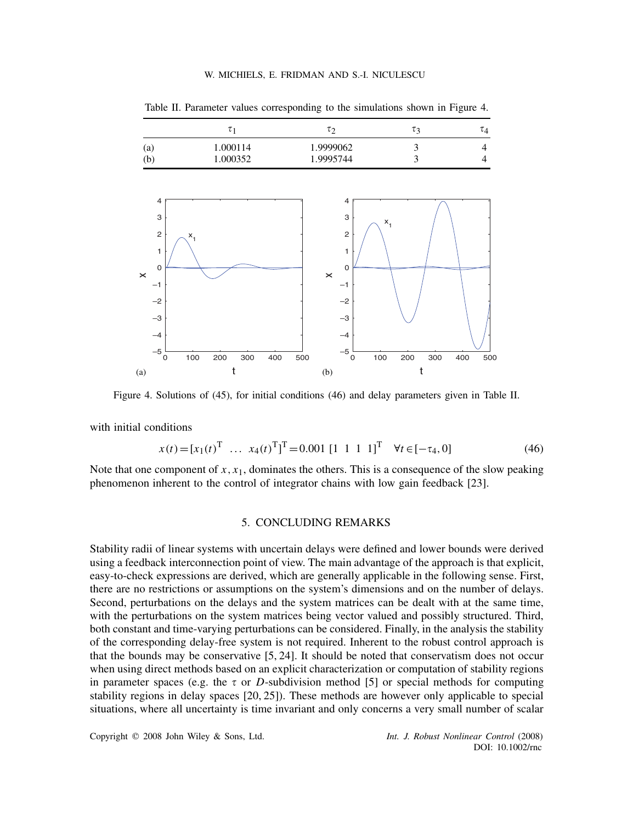#### W. MICHIELS, E. FRIDMAN AND S.-I. NICULESCU

|     | u       | τη        | τι | $\tau_4$       |
|-----|---------|-----------|----|----------------|
| (a) | .000114 | 1.9999062 |    | $\overline{4}$ |
| (b  | .000352 | 1.9995744 |    | $\overline{4}$ |

Table II. Parameter values corresponding to the simulations shown in Figure 4.



Figure 4. Solutions of (45), for initial conditions (46) and delay parameters given in Table II.

with initial conditions

$$
x(t) = [x_1(t)^T \dots x_4(t)^T]^T = 0.001 [1 \ 1 \ 1 \ 1]^T \quad \forall t \in [-\tau_4, 0]
$$
 (46)

Note that one component of  $x$ ,  $x_1$ , dominates the others. This is a consequence of the slow peaking phenomenon inherent to the control of integrator chains with low gain feedback [23].

# 5. CONCLUDING REMARKS

Stability radii of linear systems with uncertain delays were defined and lower bounds were derived using a feedback interconnection point of view. The main advantage of the approach is that explicit, easy-to-check expressions are derived, which are generally applicable in the following sense. First, there are no restrictions or assumptions on the system's dimensions and on the number of delays. Second, perturbations on the delays and the system matrices can be dealt with at the same time, with the perturbations on the system matrices being vector valued and possibly structured. Third, both constant and time-varying perturbations can be considered. Finally, in the analysis the stability of the corresponding delay-free system is not required. Inherent to the robust control approach is that the bounds may be conservative [5, 24]. It should be noted that conservatism does not occur when using direct methods based on an explicit characterization or computation of stability regions in parameter spaces (e.g. the  $\tau$  or *D*-subdivision method [5] or special methods for computing stability regions in delay spaces [20, 25]). These methods are however only applicable to special situations, where all uncertainty is time invariant and only concerns a very small number of scalar

Copyright q 2008 John Wiley & Sons, Ltd. *Int. J. Robust Nonlinear Control* (2008)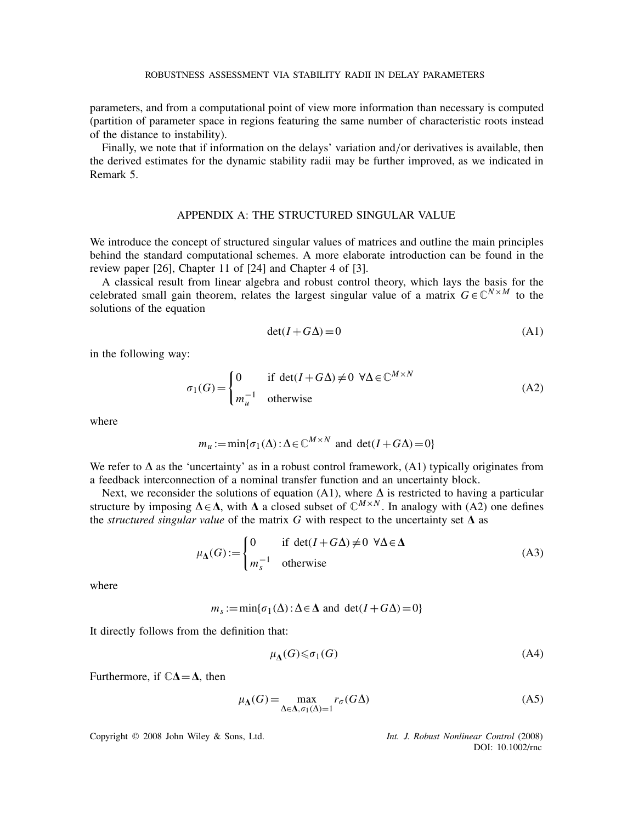parameters, and from a computational point of view more information than necessary is computed (partition of parameter space in regions featuring the same number of characteristic roots instead of the distance to instability).

Finally, we note that if information on the delays' variation and*/*or derivatives is available, then the derived estimates for the dynamic stability radii may be further improved, as we indicated in Remark 5.

# APPENDIX A: THE STRUCTURED SINGULAR VALUE

We introduce the concept of structured singular values of matrices and outline the main principles behind the standard computational schemes. A more elaborate introduction can be found in the review paper [26], Chapter 11 of [24] and Chapter 4 of [3].

A classical result from linear algebra and robust control theory, which lays the basis for the celebrated small gain theorem, relates the largest singular value of a matrix  $G \in \mathbb{C}^{N \times M}$  to the solutions of the equation

$$
\det(I + G\Delta) = 0\tag{A1}
$$

in the following way:

$$
\sigma_1(G) = \begin{cases} 0 & \text{if } \det(I + G\Delta) \neq 0 \ \forall \Delta \in \mathbb{C}^{M \times N} \\ m_u^{-1} & \text{otherwise} \end{cases} \tag{A2}
$$

where

$$
m_u := \min{\{\sigma_1(\Delta) : \Delta \in \mathbb{C}^{M \times N} \text{ and } \det(I + G\Delta) = 0\}}
$$

We refer to  $\Delta$  as the 'uncertainty' as in a robust control framework, (A1) typically originates from a feedback interconnection of a nominal transfer function and an uncertainty block.

Next, we reconsider the solutions of equation (A1), where  $\Delta$  is restricted to having a particular structure by imposing  $\Delta \in \Delta$ , with  $\Delta$  a closed subset of  $\mathbb{C}^{M \times N}$ . In analogy with (A2) one defines the *structured singular value* of the matrix *G* with respect to the uncertainty set  $\Lambda$  as

$$
\mu_{\Delta}(G) := \begin{cases} 0 & \text{if } \det(I + G\Delta) \neq 0 \ \forall \Delta \in \Delta \\ m_s^{-1} & \text{otherwise} \end{cases}
$$
 (A3)

where

$$
m_s := min{\sigma_1(\Delta) : \Delta \in \Delta \text{ and } det(I + G\Delta) = 0}
$$

It directly follows from the definition that:

$$
\mu_{\Delta}(G) \leq \sigma_1(G) \tag{A4}
$$

Furthermore, if  $\mathbb{C}\Delta = \Delta$ , then

$$
\mu_{\Delta}(G) = \max_{\Delta \in \Delta, \sigma_1(\Delta) = 1} r_{\sigma}(G\Delta)
$$
\n(A5)

Copyright q 2008 John Wiley & Sons, Ltd. *Int. J. Robust Nonlinear Control* (2008)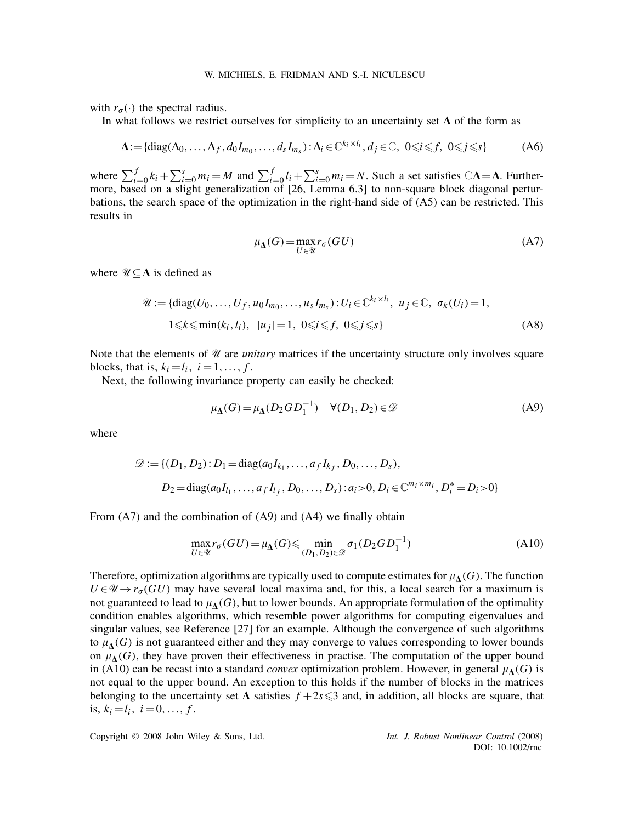with  $r_{\sigma}(\cdot)$  the spectral radius.

In what follows we restrict ourselves for simplicity to an uncertainty set  $\Delta$  of the form as

$$
\Delta := \{ \text{diag}(\Delta_0, \dots, \Delta_f, d_0 I_{m_0}, \dots, d_s I_{m_s}) : \Delta_i \in \mathbb{C}^{k_i \times l_i}, d_j \in \mathbb{C}, \ 0 \le i \le f, \ 0 \le j \le s \}
$$
 (A6)

where  $\sum_{i=0}^{f} k_i + \sum_{i=0}^{s} m_i = M$  and  $\sum_{i=0}^{f} l_i + \sum_{i=0}^{s} m_i = N$ . Such a set satisfies  $\mathbb{C}\Delta = \Delta$ . Furthermore, based on a slight generalization of [26, Lemma 6.3] to non-square block diagonal perturbations, the search space of the optimization in the right-hand side of (A5) can be restricted. This results in

$$
\mu_{\Delta}(G) = \max_{U \in \mathcal{U}} r_{\sigma}(GU) \tag{A7}
$$

where  $\mathscr{U} \subseteq \Delta$  is defined as

$$
\mathcal{U} := \{ \text{diag}(U_0, \dots, U_f, u_0 I_{m_0}, \dots, u_s I_{m_s}) : U_i \in \mathbb{C}^{k_i \times l_i}, \ u_j \in \mathbb{C}, \ \sigma_k(U_i) = 1, 1 \leq k \leq \min(k_i, l_i), \ |u_j| = 1, \ 0 \leq i \leq f, \ 0 \leq j \leq s \}
$$
 (A8)

Note that the elements of  $\mathcal U$  are *unitary* matrices if the uncertainty structure only involves square blocks, that is,  $k_i = l_i$ ,  $i = 1, \ldots, f$ .

Next, the following invariance property can easily be checked:

$$
\mu_{\Delta}(G) = \mu_{\Delta}(D_2 G D_1^{-1}) \quad \forall (D_1, D_2) \in \mathcal{D}
$$
\n(A9)

where

$$
\mathcal{D} := \{ (D_1, D_2) : D_1 = \text{diag}(a_0 I_{k_1}, \dots, a_f I_{k_f}, D_0, \dots, D_s),
$$
  

$$
D_2 = \text{diag}(a_0 I_{l_1}, \dots, a_f I_{l_f}, D_0, \dots, D_s) : a_i > 0, D_i \in \mathbb{C}^{m_i \times m_i}, D_i^* = D_i > 0 \}
$$

From (A7) and the combination of (A9) and (A4) we finally obtain

$$
\max_{U \in \mathcal{U}} r_{\sigma}(GU) = \mu_{\Delta}(G) \le \min_{(D_1, D_2) \in \mathcal{D}} \sigma_1(D_2GD_1^{-1})
$$
\n(A10)

Therefore, optimization algorithms are typically used to compute estimates for  $\mu_{\Lambda}(G)$ . The function  $U \in \mathcal{U} \rightarrow r_{\sigma}(GU)$  may have several local maxima and, for this, a local search for a maximum is not guaranteed to lead to  $\mu_{\Lambda}(G)$ , but to lower bounds. An appropriate formulation of the optimality condition enables algorithms, which resemble power algorithms for computing eigenvalues and singular values, see Reference [27] for an example. Although the convergence of such algorithms to  $\mu_{\Lambda}(G)$  is not guaranteed either and they may converge to values corresponding to lower bounds on  $\mu_{\Lambda}(G)$ , they have proven their effectiveness in practise. The computation of the upper bound in (A10) can be recast into a standard *convex* optimization problem. However, in general  $\mu_{\Lambda}(G)$  is not equal to the upper bound. An exception to this holds if the number of blocks in the matrices belonging to the uncertainty set  $\Delta$  satisfies  $f + 2s \leq 3$  and, in addition, all blocks are square, that is,  $k_i = l_i$ ,  $i = 0, ..., f$ .

Copyright q 2008 John Wiley & Sons, Ltd. *Int. J. Robust Nonlinear Control* (2008)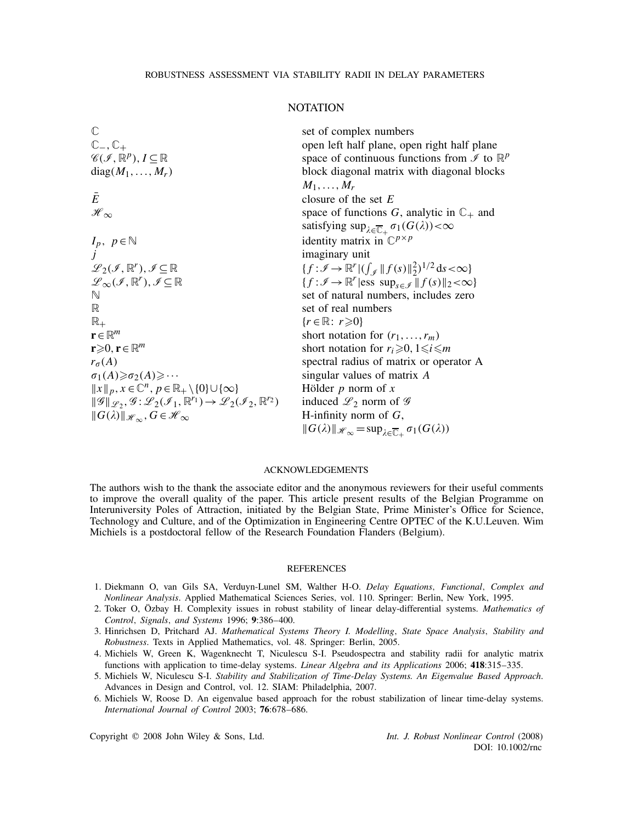# NOTATION

| $\mathbb{C}$                                                                                                                                            | set of complex numbers                                                                                      |
|---------------------------------------------------------------------------------------------------------------------------------------------------------|-------------------------------------------------------------------------------------------------------------|
| $\mathbb{C}_{-}, \mathbb{C}_{+}$                                                                                                                        | open left half plane, open right half plane                                                                 |
| $\mathscr{C}(\mathscr{I},\mathbb{R}^p),I\subseteq\mathbb{R}$                                                                                            | space of continuous functions from $\mathcal I$ to $\mathbb R^p$                                            |
| $diag(M_1, \ldots, M_r)$                                                                                                                                | block diagonal matrix with diagonal blocks                                                                  |
|                                                                                                                                                         | $M_1,\ldots,M_r$                                                                                            |
| Ē                                                                                                                                                       | closure of the set $E$                                                                                      |
| $\mathscr{H}_{\infty}$                                                                                                                                  | space of functions G, analytic in $\mathbb{C}_+$ and                                                        |
|                                                                                                                                                         | satisfying $\sup_{\lambda \in \overline{\mathbb{C}}_+} \sigma_1(G(\lambda)) < \infty$                       |
| $I_p, p \in \mathbb{N}$                                                                                                                                 | identity matrix in $\mathbb{C}^{p \times p}$                                                                |
|                                                                                                                                                         | imaginary unit                                                                                              |
| $\mathscr{L}_2(\mathscr{I}, \mathbb{R}^r), \mathscr{I} \subseteq \mathbb{R}$                                                                            | $\{f: \mathscr{I} \to \mathbb{R}^r   (\int_{\mathscr{I}}    f(s)   _2^2)^{1/2} ds < \infty \}$              |
| $\mathscr{L}_{\infty}(\mathscr{I},\mathbb{R}^r), \mathscr{I} \subseteq \mathbb{R}$                                                                      | $\{f : \mathscr{I} \to \mathbb{R}^r   \text{ess sup}_{s \in \mathscr{I}} \  f(s) \ _2 < \infty \}$          |
| N                                                                                                                                                       | set of natural numbers, includes zero                                                                       |
| $\mathbb R$                                                                                                                                             | set of real numbers                                                                                         |
| $\mathbb{R}_+$                                                                                                                                          | $\{r \in \mathbb{R} : r \geq 0\}$                                                                           |
| $\mathbf{r} \in \mathbb{R}^m$                                                                                                                           | short notation for $(r_1, \ldots, r_m)$                                                                     |
| $\mathbf{r} \geqslant 0, \mathbf{r} \in \mathbb{R}^m$                                                                                                   | short notation for $r_i \ge 0, 1 \le i \le m$                                                               |
| $r_{\sigma}(A)$                                                                                                                                         | spectral radius of matrix or operator A                                                                     |
| $\sigma_1(A) \geqslant \sigma_2(A) \geqslant \cdots$                                                                                                    | singular values of matrix A                                                                                 |
| $  x  _p, x \in \mathbb{C}^n, p \in \mathbb{R}_+ \setminus \{0\} \cup \{\infty\}$                                                                       | Hölder $p$ norm of $x$                                                                                      |
| $\ \mathscr{G}\ _{\mathscr{L}_2}, \mathscr{G}: \mathscr{L}_2(\mathscr{I}_1,\mathbb{R}^{r_1}) \rightarrow \mathscr{L}_2(\mathscr{I}_2,\mathbb{R}^{r_2})$ | induced $\mathcal{L}_2$ norm of $\mathcal G$                                                                |
| $\ G(\lambda)\ _{\mathscr{H}_{\infty}}, G \in \mathscr{H}_{\infty}$                                                                                     | H-infinity norm of $G$ ,                                                                                    |
|                                                                                                                                                         | $  G(\lambda)  _{\mathcal{H}_{\infty}} = \sup_{\lambda \in \overline{\mathbb{C}}_{+}} \sigma_1(G(\lambda))$ |
|                                                                                                                                                         |                                                                                                             |

#### ACKNOWLEDGEMENTS

The authors wish to the thank the associate editor and the anonymous reviewers for their useful comments to improve the overall quality of the paper. This article present results of the Belgian Programme on Interuniversity Poles of Attraction, initiated by the Belgian State, Prime Minister's Office for Science, Technology and Culture, and of the Optimization in Engineering Centre OPTEC of the K.U.Leuven. Wim Michiels is a postdoctoral fellow of the Research Foundation Flanders (Belgium).

### **REFERENCES**

- 1. Diekmann O, van Gils SA, Verduyn-Lunel SM, Walther H-O. *Delay Equations, Functional, Complex and Nonlinear Analysis*. Applied Mathematical Sciences Series, vol. 110. Springer: Berlin, New York, 1995.
- 2. Toker O, Özbay H. Complexity issues in robust stability of linear delay-differential systems. Mathematics of *Control, Signals, and Systems* 1996; **9**:386–400.
- 3. Hinrichsen D, Pritchard AJ. *Mathematical Systems Theory I. Modelling, State Space Analysis, Stability and Robustness*. Texts in Applied Mathematics, vol. 48. Springer: Berlin, 2005.
- 4. Michiels W, Green K, Wagenknecht T, Niculescu S-I. Pseudospectra and stability radii for analytic matrix functions with application to time-delay systems. *Linear Algebra and its Applications* 2006; **418**:315–335.
- 5. Michiels W, Niculescu S-I. *Stability and Stabilization of Time-Delay Systems. An Eigenvalue Based Approach*. Advances in Design and Control, vol. 12. SIAM: Philadelphia, 2007.
- 6. Michiels W, Roose D. An eigenvalue based approach for the robust stabilization of linear time-delay systems. *International Journal of Control* 2003; **76**:678–686.

Copyright q 2008 John Wiley & Sons, Ltd. *Int. J. Robust Nonlinear Control* (2008)